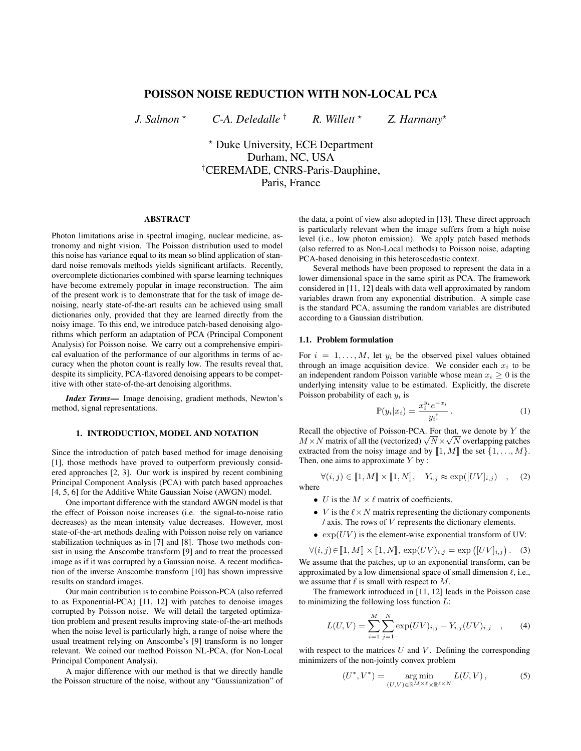# POISSON NOISE REDUCTION WITH NON-LOCAL PCA

*J. Salmon* ? *C-A. Deledalle* † *R. Willett* ? *Z. Harmany*?

? Duke University, ECE Department Durham, NC, USA †CEREMADE, CNRS-Paris-Dauphine, Paris, France

## ABSTRACT

Photon limitations arise in spectral imaging, nuclear medicine, astronomy and night vision. The Poisson distribution used to model this noise has variance equal to its mean so blind application of standard noise removals methods yields significant artifacts. Recently, overcomplete dictionaries combined with sparse learning techniques have become extremely popular in image reconstruction. The aim of the present work is to demonstrate that for the task of image denoising, nearly state-of-the-art results can be achieved using small dictionaries only, provided that they are learned directly from the noisy image. To this end, we introduce patch-based denoising algorithms which perform an adaptation of PCA (Principal Component Analysis) for Poisson noise. We carry out a comprehensive empirical evaluation of the performance of our algorithms in terms of accuracy when the photon count is really low. The results reveal that, despite its simplicity, PCA-flavored denoising appears to be competitive with other state-of-the-art denoising algorithms.

*Index Terms*— Image denoising, gradient methods, Newton's method, signal representations.

## 1. INTRODUCTION, MODEL AND NOTATION

Since the introduction of patch based method for image denoising [1], those methods have proved to outperform previously considered approaches [2, 3]. Our work is inspired by recent combining Principal Component Analysis (PCA) with patch based approaches [4, 5, 6] for the Additive White Gaussian Noise (AWGN) model.

One important difference with the standard AWGN model is that the effect of Poisson noise increases (i.e. the signal-to-noise ratio decreases) as the mean intensity value decreases. However, most state-of-the-art methods dealing with Poisson noise rely on variance stabilization techniques as in [7] and [8]. Those two methods consist in using the Anscombe transform [9] and to treat the processed image as if it was corrupted by a Gaussian noise. A recent modification of the inverse Anscombe transform [10] has shown impressive results on standard images.

Our main contribution is to combine Poisson-PCA (also referred to as Exponential-PCA) [11, 12] with patches to denoise images corrupted by Poisson noise. We will detail the targeted optimization problem and present results improving state-of-the-art methods when the noise level is particularly high, a range of noise where the usual treatment relying on Anscombe's [9] transform is no longer relevant. We coined our method Poisson NL-PCA, (for Non-Local Principal Component Analysi).

A major difference with our method is that we directly handle the Poisson structure of the noise, without any "Gaussianization" of the data, a point of view also adopted in [13]. These direct approach is particularly relevant when the image suffers from a high noise level (i.e., low photon emission). We apply patch based methods (also referred to as Non-Local methods) to Poisson noise, adapting PCA-based denoising in this heteroscedastic context.

Several methods have been proposed to represent the data in a lower dimensional space in the same spirit as PCA. The framework considered in [11, 12] deals with data well approximated by random variables drawn from any exponential distribution. A simple case is the standard PCA, assuming the random variables are distributed according to a Gaussian distribution.

#### 1.1. Problem formulation

For  $i = 1, \ldots, M$ , let  $y_i$  be the observed pixel values obtained through an image acquisition device. We consider each  $x_i$  to be an independent random Poisson variable whose mean  $x_i \geq 0$  is the underlying intensity value to be estimated. Explicitly, the discrete Poisson probability of each  $y_i$  is

$$
\mathbb{P}(y_i|x_i) = \frac{x_i^{y_i} e^{-x_i}}{y_i!} \,. \tag{1}
$$

Recall the objective of Poisson-PCA. For that, we denote by Y the Recall the objective of Poisson-PCA. For that, we denote by Y the  $M \times N$  matrix of all the (vectorized)  $\sqrt{N} \times \sqrt{N}$  overlapping patches extracted from the noisy image and by  $\llbracket 1, M \rrbracket$  the set  $\{1, \ldots, M\}$ . Then, one aims to approximate  $Y$  by :

$$
\forall (i,j) \in [\![1,M]\!] \times [\![1,N]\!], \quad Y_{i,j} \approx \exp([UV]_{i,j}) \quad , \quad \text{(2)}
$$
 where

- U is the  $M \times \ell$  matrix of coefficients.
- *V* is the  $\ell \times N$  matrix representing the dictionary components  $\ell$  axis. The rows of  $V$  represents the dictionary elements.
- $\exp(UV)$  is the element-wise exponential transform of UV:

 $\forall (i, j) \in [\![1, M]\!] \times [\![1, N]\!], \exp(UV)_{i,j} = \exp([UV]_{i,j}).$  (3) We assume that the patches, up to an exponential transform, can be approximated by a low dimensional space of small dimension  $\ell$ , i.e., we assume that  $\ell$  is small with respect to  $M$ .

The framework introduced in [11, 12] leads in the Poisson case to minimizing the following loss function  $L$ :

$$
L(U, V) = \sum_{i=1}^{M} \sum_{j=1}^{N} \exp(UV)_{i,j} - Y_{i,j}(UV)_{i,j} \quad , \tag{4}
$$

with respect to the matrices  $U$  and  $V$ . Defining the corresponding minimizers of the non-jointly convex problem

$$
(U^*, V^*) = \underset{(U,V)\in\mathbb{R}^{M\times\ell}\times\mathbb{R}^{\ell\times N}}{\arg\min} L(U,V),
$$
 (5)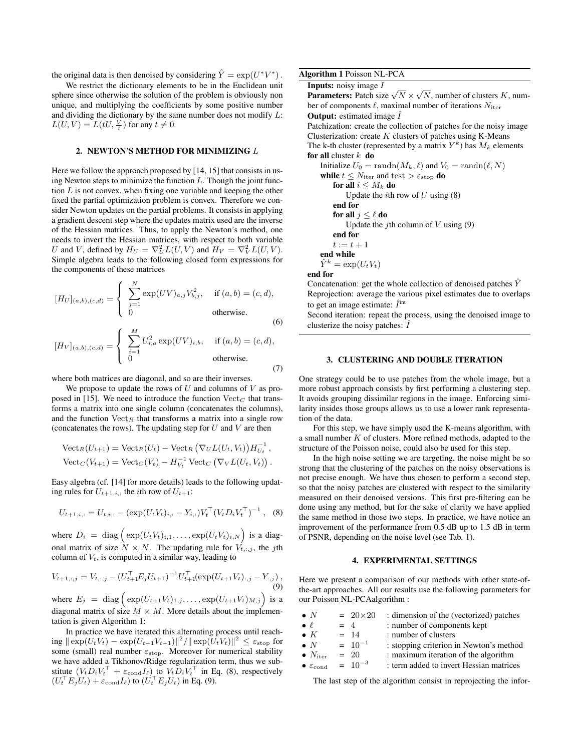the original data is then denoised by considering  $\hat{Y} = \exp(U^*V^*)$ .

We restrict the dictionary elements to be in the Euclidean unit sphere since otherwise the solution of the problem is obviously non unique, and multiplying the coefficients by some positive number and dividing the dictionary by the same number does not modify  $L$ :  $L(U, V) = L(tU, \frac{V}{t})$  for any  $t \neq 0$ .

## 2. NEWTON'S METHOD FOR MINIMIZING L

Here we follow the approach proposed by [14, 15] that consists in using Newton steps to minimize the function  $L$ . Though the joint function  $L$  is not convex, when fixing one variable and keeping the other fixed the partial optimization problem is convex. Therefore we consider Newton updates on the partial problems. It consists in applying a gradient descent step where the updates matrix used are the inverse of the Hessian matrices. Thus, to apply the Newton's method, one needs to invert the Hessian matrices, with respect to both variable U and V, defined by  $H_U = \nabla_U^2 L(U, V)$  and  $H_V = \nabla_V^2 L(U, V)$ . Simple algebra leads to the following closed form expressions for the components of these matrices

$$
[H_U]_{(a,b),(c,d)} = \begin{cases} \sum_{j=1}^{N} \exp(UV)_{a,j} V_{b,j}^2, & \text{if } (a,b) = (c,d), \\ 0 & \text{otherwise.} \end{cases}
$$
(6)

$$
[H_V]_{(a,b),(c,d)} = \begin{cases} \sum_{i=1}^{M} U_{i,a}^2 \exp(UV)_{i,b}, & \text{if } (a,b) = (c,d), \\ 0 & \text{otherwise.} \end{cases}
$$
(7)

where both matrices are diagonal, and so are their inverses.

We propose to update the rows of  $U$  and columns of  $V$  as proposed in [15]. We need to introduce the function  $Vect_C$  that transforms a matrix into one single column (concatenates the columns), and the function  $Vect_R$  that transforms a matrix into a single row (concatenates the rows). The updating step for  $U$  and  $V$  are then

$$
\begin{aligned} \text{Vect}_R(U_{t+1}) &= \text{Vect}_R(U_t) - \text{Vect}_R(\nabla_U L(U_t, V_t)) H_{U_t}^{-1}, \\ \text{Vect}_C(V_{t+1}) &= \text{Vect}_C(V_t) - H_{V_t}^{-1} \text{Vect}_C(\nabla_V L(U_t, V_t)). \end{aligned}
$$

Easy algebra (cf. [14] for more details) leads to the following updating rules for  $U_{t+1,i}$ , the *i*th row of  $U_{t+1}$ :

$$
U_{t+1,i,:} = U_{t,i,:} - (\exp(U_t V_{t})_{i,:} - Y_{i,:}) V_t^{\top} (V_t D_i V_t^{\top})^{-1},
$$
 (8)

where  $D_i = \text{diag}\left(\exp(U_t V_t)_{i,1}, \dots, \exp(U_t V_t)_{i,N}\right)$  is a diagonal matrix of size  $N \times N$ . The updating rule for  $V_{t, i, j}$ , the jth column of  $V_t$ , is computed in a similar way, leading to

$$
V_{t+1,:,j} = V_{t,:,j} - (U_{t+1}^\top E_j U_{t+1})^{-1} U_{t+1}^\top (\exp(U_{t+1} V_{t}), j - Y_{:,j}),
$$
  
(9)  
where  $E_j = \text{diag}(\exp(U_{t+1} V_{t})_{1,j}, \dots, \exp(U_{t+1} V_{t})_{M,j})$  is a

diagonal matrix of size  $M \times M$ . More details about the implementation is given Algorithm 1:

In practice we have iterated this alternating process until reach- $\sup \| \exp(U_t V_t) - \exp(U_{t+1} V_{t+1}) \|^2 / \| \exp(U_t V_t) \|^2 \leq \varepsilon_{\text{stop}}$  for some (small) real number  $\varepsilon_{\text{stop}}$ . Moreover for numerical stability we have added a Tikhonov/Ridge regularization term, thus we substitute  $(V_t D_i V_t^{\top} + \varepsilon_{\text{cond}} I_{\ell})$  to  $V_t D_i V_t^{\top}$  in Eq. (8), respectively  $(U_t^\top E_j U_t) + \varepsilon_{\text{cond}} I_\ell$ ) to  $(U_t^\top E_j U_t)$  in Eq. (9).

|  |  |  |  | <b>Algorithm 1 Poisson NL-PCA</b> |  |  |
|--|--|--|--|-----------------------------------|--|--|
|--|--|--|--|-----------------------------------|--|--|

| <b>Inputs:</b> noisy image $I$                                                        |
|---------------------------------------------------------------------------------------|
| <b>Parameters:</b> Patch size $\sqrt{N} \times \sqrt{N}$ , number of clusters K, num- |
| ber of components $\ell$ , maximal number of iterations $N_{\text{iter}}$             |
| <b>Output:</b> estimated image $\hat{I}$                                              |
| Patchization: create the collection of patches for the noisy image                    |
| Clusterization: create $K$ clusters of patches using K-Means                          |
| The k-th cluster (represented by a matrix $Y^k$ ) has $M_k$ elements                  |
| for all cluster $k$ do                                                                |
| Initialize $U_0 = \text{randn}(M_k, \ell)$ and $V_0 = \text{randn}(\ell, N)$          |
| while $t \leq N_{\text{iter}}$ and test $> \varepsilon_{\text{stop}}$ do              |
| for all $i \leq M_k$ do                                                               |
| Update the <i>i</i> th row of U using $(8)$                                           |
| end for                                                                               |
| for all $i \leq \ell$ do                                                              |
| Update the <i>i</i> th column of V using $(9)$                                        |
| end for                                                                               |
| $t:=t+1$                                                                              |
| end while                                                                             |
| $\hat{Y}^k = \exp(U_t V_t)$                                                           |
| end for                                                                               |
| Concatenation: get the whole collection of denoised patches $\hat{Y}$                 |

Reprojection: average the various pixel estimates due to overlaps to get an image estimate:  $\hat{I}^{\text{int}}$ 

Second iteration: repeat the process, using the denoised image to clusterize the noisy patches:  $\hat{I}$ 

#### 3. CLUSTERING AND DOUBLE ITERATION

One strategy could be to use patches from the whole image, but a more robust approach consists by first performing a clustering step. It avoids grouping dissimilar regions in the image. Enforcing similarity insides those groups allows us to use a lower rank representation of the data.

For this step, we have simply used the K-means algorithm, with a small number  $K$  of clusters. More refined methods, adapted to the structure of the Poisson noise, could also be used for this step.

In the high noise setting we are targeting, the noise might be so strong that the clustering of the patches on the noisy observations is not precise enough. We have thus chosen to perform a second step, so that the noisy patches are clustered with respect to the similarity measured on their denoised versions. This first pre-filtering can be done using any method, but for the sake of clarity we have applied the same method in those two steps. In practice, we have notice an improvement of the performance from 0.5 dB up to 1.5 dB in term of PSNR, depending on the noise level (see Tab. 1).

#### 4. EXPERIMENTAL SETTINGS

Here we present a comparison of our methods with other state-ofthe-art approaches. All our results use the following parameters for our Poisson NL-PCAalgorithm :

| $\bullet N$                             | $= 20 \times 20$ | : dimension of the (vectorized) patches |
|-----------------------------------------|------------------|-----------------------------------------|
| $\bullet$ $\ell$                        | $=$ 4            | : number of components kept             |
| $\bullet K$                             | $= 14$           | : number of clusters                    |
| $\bullet N$                             | $= 10^{-1}$      | : stopping criterion in Newton's method |
| $\bullet$ N <sub>iter</sub>             | $= 20$           | : maximum iteration of the algorithm    |
| $\bullet$ $\varepsilon$ <sub>cond</sub> | $= 10^{-3}$      | : term added to invert Hessian matrices |

The last step of the algorithm consist in reprojecting the infor-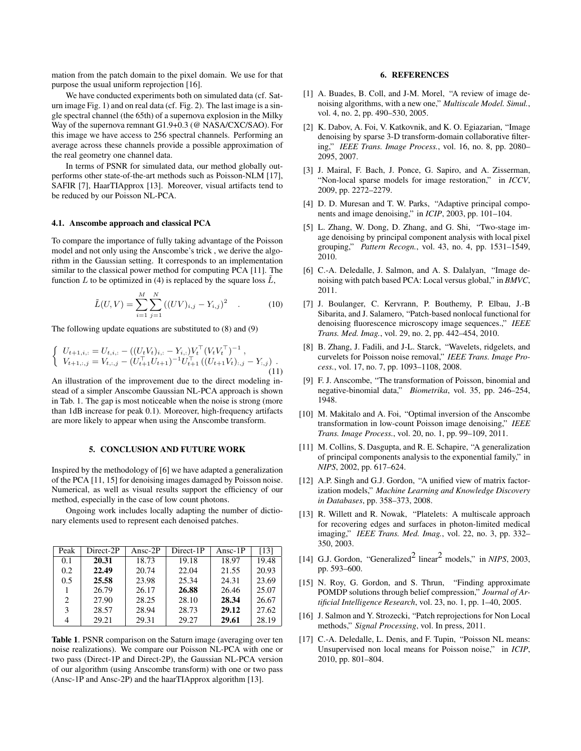mation from the patch domain to the pixel domain. We use for that purpose the usual uniform reprojection [16].

We have conducted experiments both on simulated data (cf. Saturn image Fig. 1) and on real data (cf. Fig. 2). The last image is a single spectral channel (the 65th) of a supernova explosion in the Milky Way of the supernova remnant G1.9+0.3 (@ NASA/CXC/SAO). For this image we have access to 256 spectral channels. Performing an average across these channels provide a possible approximation of the real geometry one channel data.

In terms of PSNR for simulated data, our method globally outperforms other state-of-the-art methods such as Poisson-NLM [17], SAFIR [7], HaarTIApprox [13]. Moreover, visual artifacts tend to be reduced by our Poisson NL-PCA.

## 4.1. Anscombe approach and classical PCA

To compare the importance of fully taking advantage of the Poisson model and not only using the Anscombe's trick , we derive the algorithm in the Gaussian setting. It corresponds to an implementation similar to the classical power method for computing PCA [11]. The function L to be optimized in (4) is replaced by the square loss  $\tilde{L}$ ,

$$
\tilde{L}(U,V) = \sum_{i=1}^{M} \sum_{j=1}^{N} ((UV)_{i,j} - Y_{i,j})^2 \quad . \tag{10}
$$

The following update equations are substituted to (8) and (9)

$$
\begin{cases} U_{t+1,i,:} = U_{t,i,:} - ((U_t V_t)_{i,:} - Y_{i,:}) V_t^\top (V_t V_t^\top)^{-1} , \\ V_{t+1,:,j} = V_{t,:,j} - (U_{t+1}^\top U_{t+1})^{-1} U_{t+1}^\top ((U_{t+1} V_t)_{:,j} - Y_{:,j}) . \end{cases} \tag{11}
$$

An illustration of the improvement due to the direct modeling instead of a simpler Anscombe Gaussian NL-PCA approach is shown in Tab. 1. The gap is most noticeable when the noise is strong (more than 1dB increase for peak 0.1). Moreover, high-frequency artifacts are more likely to appear when using the Anscombe transform.

### 5. CONCLUSION AND FUTURE WORK

Inspired by the methodology of [6] we have adapted a generalization of the PCA [11, 15] for denoising images damaged by Poisson noise. Numerical, as well as visual results support the efficiency of our method, especially in the case of low count photons.

Ongoing work includes locally adapting the number of dictionary elements used to represent each denoised patches.

| Peak | Direct-2P | Ansc- $2P$ | Direct-1P | Ansc- $1P$ | [13]  |
|------|-----------|------------|-----------|------------|-------|
| 0.1  | 20.31     | 18.73      | 19.18     | 18.97      | 19.48 |
| 0.2  | 22.49     | 20.74      | 22.04     | 21.55      | 20.93 |
| 0.5  | 25.58     | 23.98      | 25.34     | 24.31      | 23.69 |
|      | 26.79     | 26.17      | 26.88     | 26.46      | 25.07 |
| 2    | 27.90     | 28.25      | 28.10     | 28.34      | 26.67 |
| 3    | 28.57     | 28.94      | 28.73     | 29.12      | 27.62 |
| 4    | 29.21     | 29.31      | 29.27     | 29.61      | 28.19 |

Table 1. PSNR comparison on the Saturn image (averaging over ten noise realizations). We compare our Poisson NL-PCA with one or two pass (Direct-1P and Direct-2P), the Gaussian NL-PCA version of our algorithm (using Anscombe transform) with one or two pass (Ansc-1P and Ansc-2P) and the haarTIApprox algorithm [13].

#### 6. REFERENCES

- [1] A. Buades, B. Coll, and J-M. Morel, "A review of image denoising algorithms, with a new one," *Multiscale Model. Simul.*, vol. 4, no. 2, pp. 490–530, 2005.
- [2] K. Dabov, A. Foi, V. Katkovnik, and K. O. Egiazarian, "Image denoising by sparse 3-D transform-domain collaborative filtering," *IEEE Trans. Image Process.*, vol. 16, no. 8, pp. 2080– 2095, 2007.
- [3] J. Mairal, F. Bach, J. Ponce, G. Sapiro, and A. Zisserman, "Non-local sparse models for image restoration," in *ICCV*, 2009, pp. 2272–2279.
- [4] D. D. Muresan and T. W. Parks, "Adaptive principal components and image denoising," in *ICIP*, 2003, pp. 101–104.
- [5] L. Zhang, W. Dong, D. Zhang, and G. Shi, "Two-stage image denoising by principal component analysis with local pixel grouping," *Pattern Recogn.*, vol. 43, no. 4, pp. 1531–1549, 2010.
- [6] C.-A. Deledalle, J. Salmon, and A. S. Dalalyan, "Image denoising with patch based PCA: Local versus global," in *BMVC*, 2011.
- [7] J. Boulanger, C. Kervrann, P. Bouthemy, P. Elbau, J.-B Sibarita, and J. Salamero, "Patch-based nonlocal functional for denoising fluorescence microscopy image sequences.," *IEEE Trans. Med. Imag.*, vol. 29, no. 2, pp. 442–454, 2010.
- [8] B. Zhang, J. Fadili, and J-L. Starck, "Wavelets, ridgelets, and curvelets for Poisson noise removal," *IEEE Trans. Image Process.*, vol. 17, no. 7, pp. 1093–1108, 2008.
- [9] F. J. Anscombe, "The transformation of Poisson, binomial and negative-binomial data," *Biometrika*, vol. 35, pp. 246–254, 1948.
- [10] M. Makitalo and A. Foi, "Optimal inversion of the Anscombe transformation in low-count Poisson image denoising," *IEEE Trans. Image Process.*, vol. 20, no. 1, pp. 99–109, 2011.
- [11] M. Collins, S. Dasgupta, and R. E. Schapire, "A generalization of principal components analysis to the exponential family," in *NIPS*, 2002, pp. 617–624.
- [12] A.P. Singh and G.J. Gordon, "A unified view of matrix factorization models," *Machine Learning and Knowledge Discovery in Databases*, pp. 358–373, 2008.
- [13] R. Willett and R. Nowak, "Platelets: A multiscale approach for recovering edges and surfaces in photon-limited medical imaging," *IEEE Trans. Med. Imag.*, vol. 22, no. 3, pp. 332– 350, 2003.
- [14] G.J. Gordon, "Generalized<sup>2</sup> linear<sup>2</sup> models," in *NIPS*, 2003, pp. 593–600.
- [15] N. Roy, G. Gordon, and S. Thrun, "Finding approximate POMDP solutions through belief compression," *Journal of Artificial Intelligence Research*, vol. 23, no. 1, pp. 1–40, 2005.
- [16] J. Salmon and Y. Strozecki, "Patch reprojections for Non Local methods," *Signal Processing*, vol. In press, 2011.
- [17] C.-A. Deledalle, L. Denis, and F. Tupin, "Poisson NL means: Unsupervised non local means for Poisson noise," in *ICIP*, 2010, pp. 801–804.